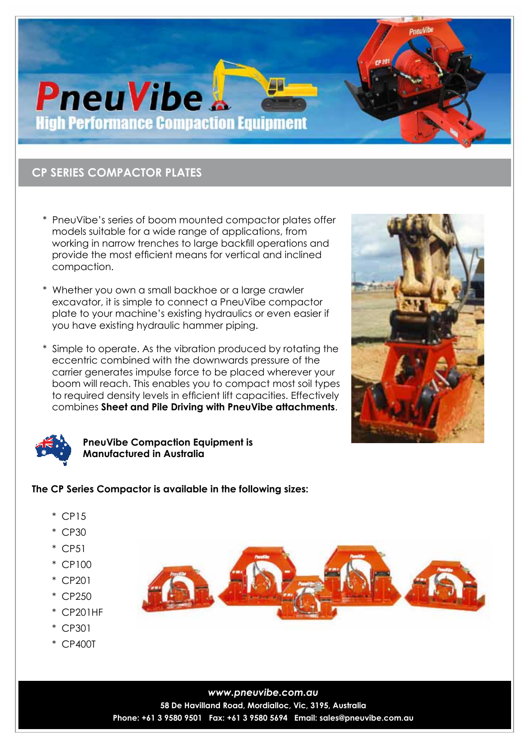# **PneuVibe High Performance Compaction Equipment**

# **CP SERIES COMPACTOR PLATES**

- \* PneuVibe's series of boom mounted compactor plates offer models suitable for a wide range of applications, from working in narrow trenches to large backfill operations and provide the most efficient means for vertical and inclined compaction.
- \* Whether you own a small backhoe or a large crawler excavator, it is simple to connect a PneuVibe compactor plate to your machine's existing hydraulics or even easier if you have existing hydraulic hammer piping.
- \* Simple to operate. As the vibration produced by rotating the eccentric combined with the downwards pressure of the carrier generates impulse force to be placed wherever your boom will reach. This enables you to compact most soil types to required density levels in efficient lift capacities. Effectively combines **Sheet and Pile Driving with PneuVibe attachments**.





## **PneuVibe Compaction Equipment is Manufactured in Australia**

# **The CP Series Compactor is available in the following sizes:**

- \* CP15
- \* CP30
- \* CP51
- \* CP100
- \* CP201
- \* CP250
- \* CP201HF
- \* CP301
- \* CP400T



*www.pneuvibe.com.au* **58 De Havilland Road, Mordialloc, Vic, 3195, Australia Phone: +61 3 9580 9501 Fax: +61 3 9580 5694 Email: sales@pneuvibe.com.au**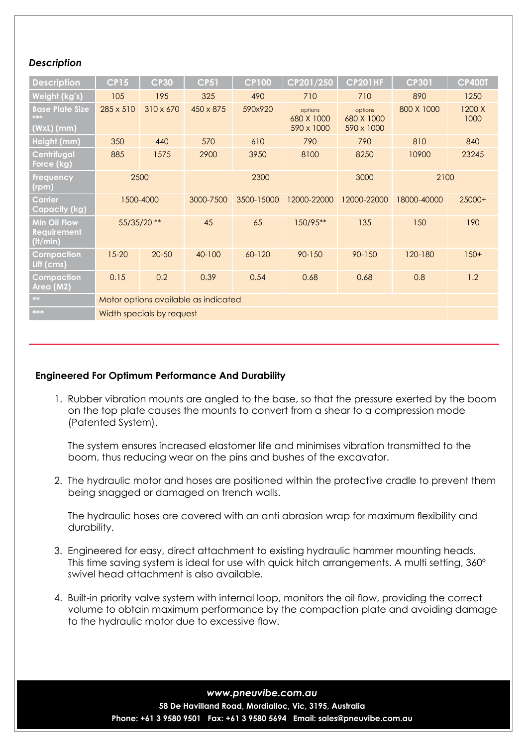### *Description*

| <b>Description</b>                                                 | <b>CP15</b>                          | <b>CP30</b> | <b>CP51</b> | <b>CP100</b> | CP201/250                           | <b>CP201HF</b>                      | <b>CP301</b> | <b>CP400T</b>  |
|--------------------------------------------------------------------|--------------------------------------|-------------|-------------|--------------|-------------------------------------|-------------------------------------|--------------|----------------|
| Weight (kg's)                                                      | 105                                  | 195         | 325         | 490          | 710                                 | 710                                 | 890          | 1250           |
| <b>Base Plate Size</b><br>***<br>$(WxL)$ (mm)                      | 285 x 510                            | 310 x 670   | 450 x 875   | 590x920      | options<br>680 X 1000<br>590 x 1000 | options<br>680 X 1000<br>590 x 1000 | 800 X 1000   | 1200 X<br>1000 |
| Height (mm)                                                        | 350                                  | 440         | 570         | 610          | 790                                 | 790                                 | 810          | 840            |
| Centrifugal<br>Force (kg)                                          | 885                                  | 1575        | 2900        | 3950         | 8100                                | 8250                                | 10900        | 23245          |
| <b>Frequency</b><br>(rpm)                                          | 2500                                 |             | 2300        |              |                                     | 3000                                | 2100         |                |
| Carrier<br><b>Capacity (kg)</b>                                    | 1500-4000                            |             | 3000-7500   | 3500-15000   | 12000-22000                         | 12000-22000                         | 18000-40000  | $25000+$       |
| <b>Min Oil Flow</b><br><b>Requirement</b><br>(l <sup>t</sup> /min) | 55/35/20 **                          |             | 45          | 65           | 150/95**                            | 135                                 | 150          | 190            |
| Compaction<br>Lift (cms)                                           | $15 - 20$                            | $20 - 50$   | 40-100      | 60-120       | $90 - 150$                          | 90-150                              | 120-180      | $150+$         |
| Compaction<br>Area (M2)                                            | 0.15                                 | 0.2         | 0.39        | 0.54         | 0.68                                | 0.68                                | 0.8          | 1.2            |
| **                                                                 | Motor options available as indicated |             |             |              |                                     |                                     |              |                |
| ***                                                                | Width specials by request            |             |             |              |                                     |                                     |              |                |

#### **Engineered For Optimum Performance And Durability**

 1. Rubber vibration mounts are angled to the base, so that the pressure exerted by the boom on the top plate causes the mounts to convert from a shear to a compression mode (Patented System).

The system ensures increased elastomer life and minimises vibration transmitted to the boom, thus reducing wear on the pins and bushes of the excavator.

 2. The hydraulic motor and hoses are positioned within the protective cradle to prevent them being snagged or damaged on trench walls.

The hydraulic hoses are covered with an anti abrasion wrap for maximum flexibility and durability.

- 3. Engineered for easy, direct attachment to existing hydraulic hammer mounting heads. This time saving system is ideal for use with quick hitch arrangements. A multi setting, 360º swivel head attachment is also available.
- 4. Built-in priority valve system with internal loop, monitors the oil flow, providing the correct volume to obtain maximum performance by the compaction plate and avoiding damage to the hydraulic motor due to excessive flow.

*www.pneuvibe.com.au* **58 De Havilland Road, Mordialloc, Vic, 3195, Australia Phone: +61 3 9580 9501 Fax: +61 3 9580 5694 Email: sales@pneuvibe.com.au**